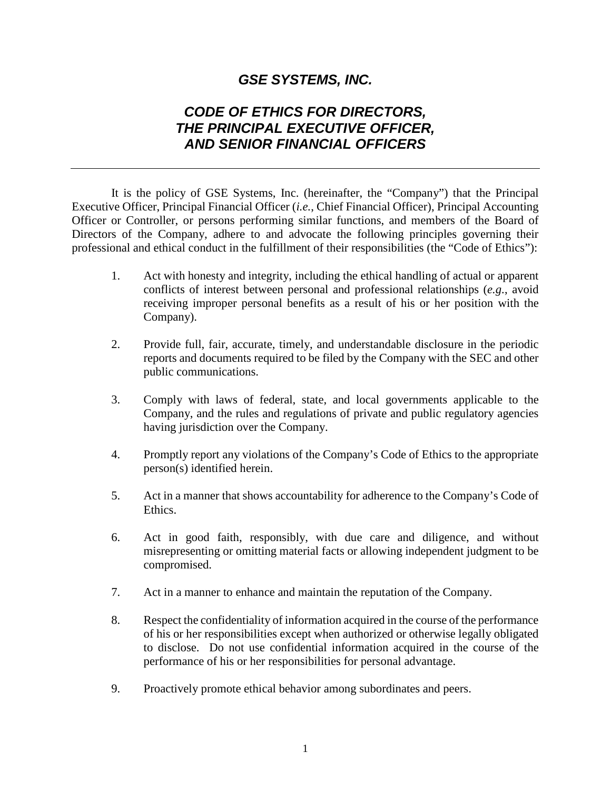## *GSE SYSTEMS, INC.*

## *CODE OF ETHICS FOR DIRECTORS, THE PRINCIPAL EXECUTIVE OFFICER, AND SENIOR FINANCIAL OFFICERS*

It is the policy of GSE Systems, Inc. (hereinafter, the "Company") that the Principal Executive Officer, Principal Financial Officer (*i.e.*, Chief Financial Officer), Principal Accounting Officer or Controller, or persons performing similar functions, and members of the Board of Directors of the Company, adhere to and advocate the following principles governing their professional and ethical conduct in the fulfillment of their responsibilities (the "Code of Ethics"):

- 1. Act with honesty and integrity, including the ethical handling of actual or apparent conflicts of interest between personal and professional relationships (*e.g.*, avoid receiving improper personal benefits as a result of his or her position with the Company).
- 2. Provide full, fair, accurate, timely, and understandable disclosure in the periodic reports and documents required to be filed by the Company with the SEC and other public communications.
- 3. Comply with laws of federal, state, and local governments applicable to the Company, and the rules and regulations of private and public regulatory agencies having jurisdiction over the Company.
- 4. Promptly report any violations of the Company's Code of Ethics to the appropriate person(s) identified herein.
- 5. Act in a manner that shows accountability for adherence to the Company's Code of Ethics.
- 6. Act in good faith, responsibly, with due care and diligence, and without misrepresenting or omitting material facts or allowing independent judgment to be compromised.
- 7. Act in a manner to enhance and maintain the reputation of the Company.
- 8. Respect the confidentiality of information acquired in the course of the performance of his or her responsibilities except when authorized or otherwise legally obligated to disclose. Do not use confidential information acquired in the course of the performance of his or her responsibilities for personal advantage.
- 9. Proactively promote ethical behavior among subordinates and peers.